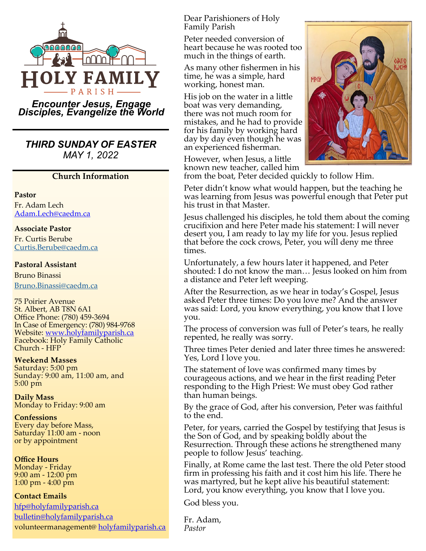

*Encounter Jesus, Engage Disciples, Evangelize the World*

*THIRD SUNDAY OF EASTER MAY 1, 2022*

#### **Church Information**

#### **Pastor**

Fr. Adam Lech [Adam.Lech@caedm.ca](mailto:Adam.Lech@caedm.ca)

#### **Associate Pastor**

Fr. Curtis Berube [Curtis.Berube@caedm.ca](mailto:Curtis.Berube@caedm.ca)

#### **Pastoral Assistant**

Bruno Binassi [Bruno.Binassi@caedm.ca](mailto:Bruno.Binassi@caedm.ca)

75 Poirier Avenue St. Albert, AB T8N 6A1 Office Phone: (780) 459-3694 In Case of Emergency: (780) 984-9768 Website: [www.holyfamilyparish.ca](http://www.holyfamilyparish.ca) Facebook: Holy Family Catholic Church - HFP

#### **Weekend Masses**

Saturday: 5:00 pm Sunday: 9:00 am, 11:00 am, and 5:00 pm

**Daily Mass** Monday to Friday: 9:00 am

**Confessions** Every day before Mass, Saturday 11:00 am - noon or by appointment

**Office Hours** Monday - Friday 9:00 am - 12:00 pm 1:00 pm - 4:00 pm

## **Contact Emails**

[hfp@holyfamilyparish.ca](mailto:hfp@holyfamilyparish.ca) [bulletin@holyfamilyparish.ca](mailto:bulletin@holyfamilyparish.ca) volunteermanagement@ [holyfamilyparish.ca](http://holyfamilyparish.ca) Dear Parishioners of Holy Family Parish

Peter needed conversion of heart because he was rooted too much in the things of earth.

As many other fishermen in his time, he was a simple, hard working, honest man.

His job on the water in a little boat was very demanding, there was not much room for mistakes, and he had to provide for his family by working hard day by day even though he was an experienced fisherman.

However, when Jesus, a little known new teacher, called him



from the boat, Peter decided quickly to follow Him.

Peter didn't know what would happen, but the teaching he was learning from Jesus was powerful enough that Peter put his trust in that Master.

Jesus challenged his disciples, he told them about the coming crucifixion and here Peter made his statement: I will never desert you, I am ready to lay my life for you. Jesus replied that before the cock crows, Peter, you will deny me three times.

Unfortunately, a few hours later it happened, and Peter shouted: I do not know the man… Jesus looked on him from a distance and Peter left weeping.

After the Resurrection, as we hear in today's Gospel, Jesus asked Peter three times: Do you love me? And the answer was said: Lord, you know everything, you know that I love you.

The process of conversion was full of Peter's tears, he really repented, he really was sorry.

Three times Peter denied and later three times he answered: Yes, Lord I love you.

The statement of love was confirmed many times by courageous actions, and we hear in the first reading Peter responding to the High Priest: We must obey God rather than human beings.

By the grace of God, after his conversion, Peter was faithful to the end.

Peter, for years, carried the Gospel by testifying that Jesus is the Son of God, and by speaking boldly about the Resurrection. Through these actions he strengthened many people to follow Jesus' teaching.

Finally, at Rome came the last test. There the old Peter stood firm in professing his faith and it cost him his life. There he was martyred, but he kept alive his beautiful statement: Lord, you know everything, you know that I love you.

God bless you.

Fr. Adam, *Pastor*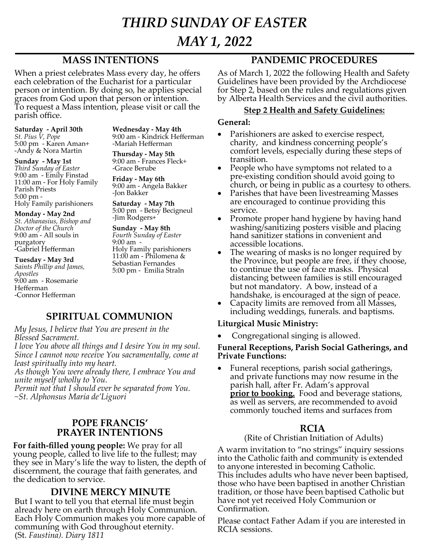# *THIRD SUNDAY OF EASTER*

## *MAY 1, 2022*

## **MASS INTENTIONS**

When a priest celebrates Mass every day, he offers each celebration of the Eucharist for a particular person or intention. By doing so, he applies special graces from God upon that person or intention. To request a Mass intention, please visit or call the parish office.

**Saturday - April 30th** *St. Pius V, Pope* 5:00 pm - Karen Aman+ -Andy & Nora Martin

**Sunday - May 1st** *Third Sunday of Easter* 9:00 am - Emily Finstad 11:00 am - For Holy Family Parish Priests 5:00 pm - Holy Family parishioners

**Monday - May 2nd** *St. Athanasius, Bishop and Doctor of the Church* 9:00 am - All souls in purgatory -Gabriel Hefferman

**Tuesday - May 3rd** *Saints Phillip and James, Apostles* 9:00 am - Rosemarie Hefferman -Connor Hefferman

**Wednesday - May 4th** 9:00 am - Kindrick Hefferman -Mariah Hefferman

**Thursday - May 5th** 9:00 am - Frances Fleck+ -Grace Berube

**Friday - May 6th** 9:00 am - Angela Bakker -Jon Bakker

**Saturday - May 7th** 5:00 pm - Betsy Becigneul -Jim Rodgers+

**Sunday - May 8th** *Fourth Sunday of Easter* 9:00 am - Holy Family parishioners 11:00 am - Philomena & Sebastian Fernandes 5:00 pm - Emilia Straln

## **SPIRITUAL COMMUNION**

*My Jesus, I believe that You are present in the Blessed Sacrament.*

*I love You above all things and I desire You in my soul. Since I cannot now receive You sacramentally, come at least spiritually into my heart.* 

*As though You were already there, I embrace You and unite myself wholly to You.*

*Permit not that I should ever be separated from You. ~St. Alphonsus Maria de'Liguori*

#### **POPE FRANCIS' PRAYER INTENTIONS**

**For faith-filled young people:** We pray for all young people, called to live life to the fullest; may they see in Mary's life the way to listen, the depth of discernment, the courage that faith generates, and the dedication to service.

#### **DIVINE MERCY MINUTE**

But I want to tell you that eternal life must begin already here on earth through Holy Communion. Each Holy Communion makes you more capable of communing with God throughout eternity. (St. *Faustina). Diary 1811* 

## **PANDEMIC PROCEDURES**

As of March 1, 2022 the following Health and Safety Guidelines have been provided by the Archdiocese for Step 2, based on the rules and regulations given by Alberta Health Services and the civil authorities.

#### **Step 2 Health and Safety Guidelines:**

#### **General:**

- Parishioners are asked to exercise respect, charity, and kindness concerning people's comfort levels, especially during these steps of transition.
- People who have symptoms not related to a pre-existing condition should avoid going to church, or being in public as a courtesy to others.
- Parishes that have been livestreaming Masses are encouraged to continue providing this service.
- Promote proper hand hygiene by having hand washing/sanitizing posters visible and placing hand sanitizer stations in convenient and accessible locations.
- The wearing of masks is no longer required by the Province, but people are free, if they choose, to continue the use of face masks. Physical distancing between families is still encouraged but not mandatory. A bow, instead of a handshake, is encouraged at the sign of peace.
- Capacity limits are removed from all Masses, including weddings, funerals. and baptisms.

#### **Liturgical Music Ministry:**

• Congregational singing is allowed.

#### **Funeral Receptions, Parish Social Gatherings, and Private Functions:**

• Funeral receptions, parish social gatherings, and private functions may now resume in the parish hall, after Fr. Adam's approval **prior to booking.** Food and beverage stations, as well as servers, are recommended to avoid commonly touched items and surfaces from

## **RCIA**

#### (Rite of Christian Initiation of Adults)

A warm invitation to "no strings" inquiry sessions into the Catholic faith and community is extended to anyone interested in becoming Catholic. This includes adults who have never been baptised, those who have been baptised in another Christian tradition, or those have been baptised Catholic but have not yet received Holy Communion or Confirmation.

Please contact Father Adam if you are interested in RCIA sessions.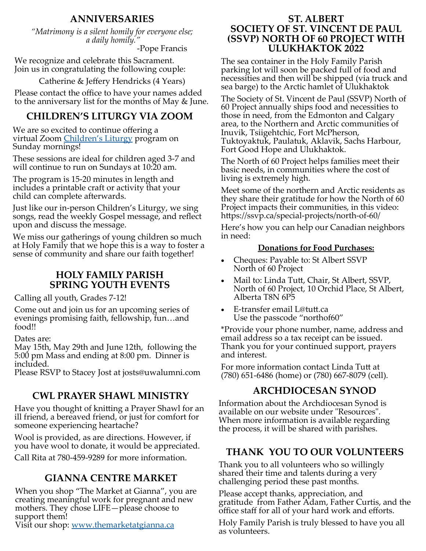## **ANNIVERSARIES**

*"Matrimony is a silent homily for everyone else; a daily homily."* 

-Pope Francis

We recognize and celebrate this Sacrament. Join us in congratulating the following couple:

Catherine & Jeffery Hendricks (4 Years)

Please contact the office to have your names added to the anniversary list for the months of May & June.

## **CHILDREN'S LITURGY VIA ZOOM**

We are so excited to continue offering a virtual Zoom Children'[s Liturgy](https://sites.google.com/view/holyfamilychildrensliturgy/home) program on Sunday mornings!

These sessions are ideal for children aged 3-7 and will continue to run on Sundays at 10:20 am.

The program is 15-20 minutes in length and includes a printable craft or activity that your child can complete afterwards.

Just like our in-person Children's Liturgy, we sing songs, read the weekly Gospel message, and reflect upon and discuss the message.

We miss our gatherings of young children so much at Holy Family that we hope this is a way to foster a sense of community and share our faith together!

#### **HOLY FAMILY PARISH SPRING YOUTH EVENTS**

Calling all youth, Grades 7-12!

Come out and join us for an upcoming series of evenings promising faith, fellowship, fun…and food!!

Dates are:

May 15th, May 29th and June 12th, following the 5:00 pm Mass and ending at 8:00 pm. Dinner is included.

Please RSVP to Stacey Jost at josts@uwalumni.com

## **CWL PRAYER SHAWL MINISTRY**

Have you thought of knitting a Prayer Shawl for an ill friend, a bereaved friend, or just for comfort for someone experiencing heartache?

Wool is provided, as are directions. However, if you have wool to donate, it would be appreciated.

Call Rita at 780-459-9289 for more information.

## **GIANNA CENTRE MARKET**

When you shop "The Market at Gianna", you are creating meaningful work for pregnant and new mothers. They chose LIFE—please choose to support them!

Visit our shop: [www.themarketatgianna.ca](https://www.themarketatgianna.ca/)

#### **ST. ALBERT SOCIETY OF ST. VINCENT DE PAUL (SSVP) NORTH OF 60 PROJECT WITH ULUKHAKTOK 2022**

The sea container in the Holy Family Parish parking lot will soon be packed full of food and necessities and then will be shipped (via truck and sea barge) to the Arctic hamlet of Ulukhaktok

The Society of St. Vincent de Paul (SSVP) North of 60 Project annually ships food and necessities to those in need, from the Edmonton and Calgary area, to the Northern and Arctic communities of Inuvik, Tsiigehtchic, Fort McPherson, Tuktoyaktuk, Paulatuk, Aklavik, Sachs Harbour, Fort Good Hope and Ulukhaktok.

The North of 60 Project helps families meet their basic needs, in communities where the cost of living is extremely high.

Meet some of the northern and Arctic residents as they share their gratitude for how the North of 60 Project impacts their communities, in this video: https://ssvp.ca/special-projects/north-of-60/

Here's how you can help our Canadian neighbors in need:

#### **Donations for Food Purchases:**

- Cheques: Payable to: St Albert SSVP North of 60 Project
- Mail to: Linda Tutt, Chair, St Albert, SSVP, North of 60 Project, 10 Orchid Place, St Albert, Alberta T8N 6P5
- E-transfer email L@tutt.ca Use the passcode "northof60"

\*Provide your phone number, name, address and email address so a tax receipt can be issued. Thank you for your continued support, prayers and interest.

For more information contact Linda Tutt at (780) 651-6486 (home) or (780) 667-8079 (cell).

## **ARCHDIOCESAN SYNOD**

Information about the Archdiocesan Synod is available on our website under "Resources". When more information is available regarding the process, it will be shared with parishes.

## **THANK YOU TO OUR VOLUNTEERS**

Thank you to all volunteers who so willingly shared their time and talents during a very challenging period these past months.

Please accept thanks, appreciation, and gratitude from Father Adam, Father Curtis, and the office staff for all of your hard work and efforts.

Holy Family Parish is truly blessed to have you all as volunteers.